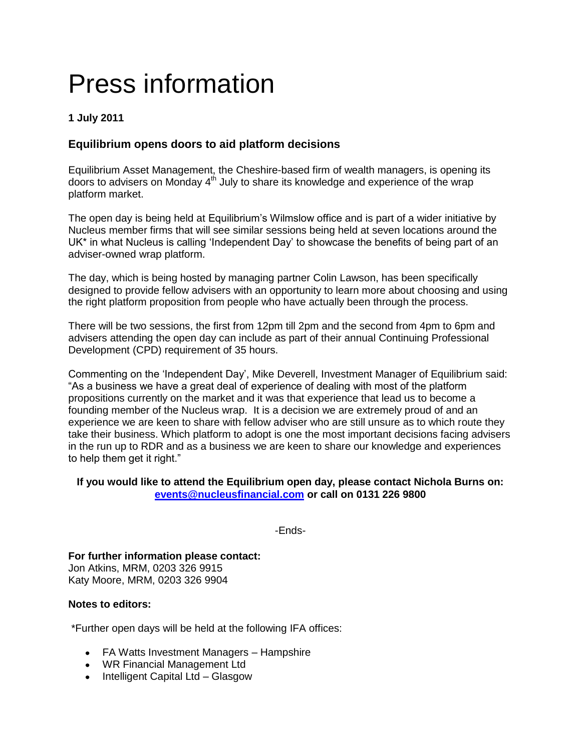# Press information

## **1 July 2011**

## **Equilibrium opens doors to aid platform decisions**

Equilibrium Asset Management, the Cheshire-based firm of wealth managers, is opening its doors to advisers on Monday  $4<sup>th</sup>$  July to share its knowledge and experience of the wrap platform market.

The open day is being held at Equilibrium"s Wilmslow office and is part of a wider initiative by Nucleus member firms that will see similar sessions being held at seven locations around the UK\* in what Nucleus is calling "Independent Day" to showcase the benefits of being part of an adviser-owned wrap platform.

The day, which is being hosted by managing partner Colin Lawson, has been specifically designed to provide fellow advisers with an opportunity to learn more about choosing and using the right platform proposition from people who have actually been through the process.

There will be two sessions, the first from 12pm till 2pm and the second from 4pm to 6pm and advisers attending the open day can include as part of their annual Continuing Professional Development (CPD) requirement of 35 hours.

Commenting on the "Independent Day", Mike Deverell, Investment Manager of Equilibrium said: "As a business we have a great deal of experience of dealing with most of the platform propositions currently on the market and it was that experience that lead us to become a founding member of the Nucleus wrap. It is a decision we are extremely proud of and an experience we are keen to share with fellow adviser who are still unsure as to which route they take their business. Which platform to adopt is one the most important decisions facing advisers in the run up to RDR and as a business we are keen to share our knowledge and experiences to help them get it right."

#### **If you would like to attend the Equilibrium open day, please contact Nichola Burns on: [events@nucleusfinancial.com](mailto:events@nucleusfinancial.com) or call on 0131 226 9800**

-Ends-

**For further information please contact:** Jon Atkins, MRM, 0203 326 9915 Katy Moore, MRM, 0203 326 9904

#### **Notes to editors:**

\*Further open days will be held at the following IFA offices:

- FA Watts Investment Managers Hampshire
- WR Financial Management Ltd
- Intelligent Capital Ltd Glasgow